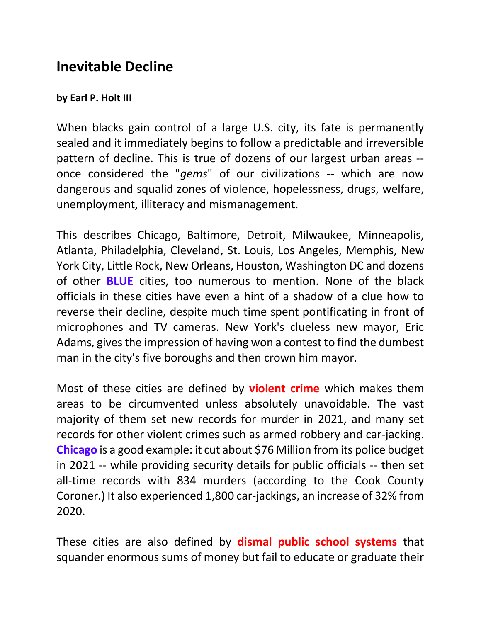## **Inevitable Decline**

## **by Earl P. Holt III**

When blacks gain control of a large U.S. city, its fate is permanently sealed and it immediately begins to follow a predictable and irreversible pattern of decline. This is true of dozens of our largest urban areas - once considered the "*gems*" of our civilizations -- which are now dangerous and squalid zones of violence, hopelessness, drugs, welfare, unemployment, illiteracy and mismanagement.

This describes Chicago, Baltimore, Detroit, Milwaukee, Minneapolis, Atlanta, Philadelphia, Cleveland, St. Louis, Los Angeles, Memphis, New York City, Little Rock, New Orleans, Houston, Washington DC and dozens of other **BLUE** cities, too numerous to mention. None of the black officials in these cities have even a hint of a shadow of a clue how to reverse their decline, despite much time spent pontificating in front of microphones and TV cameras. New York's clueless new mayor, Eric Adams, gives the impression of having won a contest to find the dumbest man in the city's five boroughs and then crown him mayor.

Most of these cities are defined by **violent crime** which makes them areas to be circumvented unless absolutely unavoidable. The vast majority of them set new records for murder in 2021, and many set records for other violent crimes such as armed robbery and car-jacking. **Chicago** is a good example: it cut about \$76 Million from its police budget in 2021 -- while providing security details for public officials -- then set all-time records with 834 murders (according to the Cook County Coroner.) It also experienced 1,800 car-jackings, an increase of 32% from 2020.

These cities are also defined by **dismal public school systems** that squander enormous sums of money but fail to educate or graduate their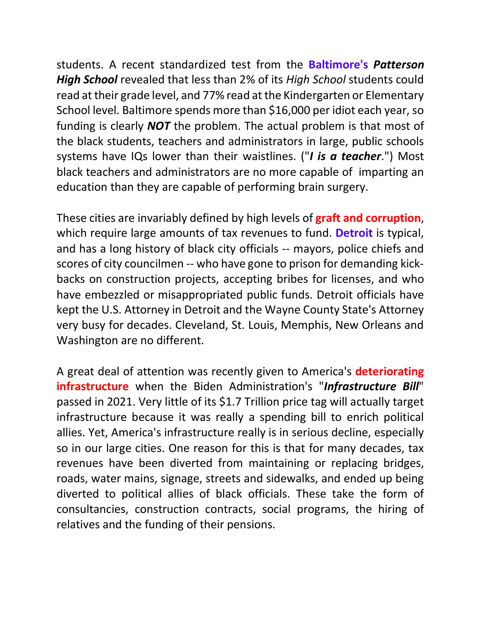students. A recent standardized test from the **Baltimore's** *Patterson High School* revealed that less than 2% of its *High School* students could read at their grade level, and 77% read at the Kindergarten or Elementary School level. Baltimore spends more than \$16,000 per idiot each year, so funding is clearly *NOT* the problem. The actual problem is that most of the black students, teachers and administrators in large, public schools systems have IQs lower than their waistlines. ("*I is a teacher*.") Most black teachers and administrators are no more capable of imparting an education than they are capable of performing brain surgery.

These cities are invariably defined by high levels of **graft and corruption**, which require large amounts of tax revenues to fund. **Detroit** is typical, and has a long history of black city officials -- mayors, police chiefs and scores of city councilmen -- who have gone to prison for demanding kickbacks on construction projects, accepting bribes for licenses, and who have embezzled or misappropriated public funds. Detroit officials have kept the U.S. Attorney in Detroit and the Wayne County State's Attorney very busy for decades. Cleveland, St. Louis, Memphis, New Orleans and Washington are no different.

A great deal of attention was recently given to America's **deteriorating infrastructure** when the Biden Administration's "*Infrastructure Bill*" passed in 2021. Very little of its \$1.7 Trillion price tag will actually target infrastructure because it was really a spending bill to enrich political allies. Yet, America's infrastructure really is in serious decline, especially so in our large cities. One reason for this is that for many decades, tax revenues have been diverted from maintaining or replacing bridges, roads, water mains, signage, streets and sidewalks, and ended up being diverted to political allies of black officials. These take the form of consultancies, construction contracts, social programs, the hiring of relatives and the funding of their pensions.